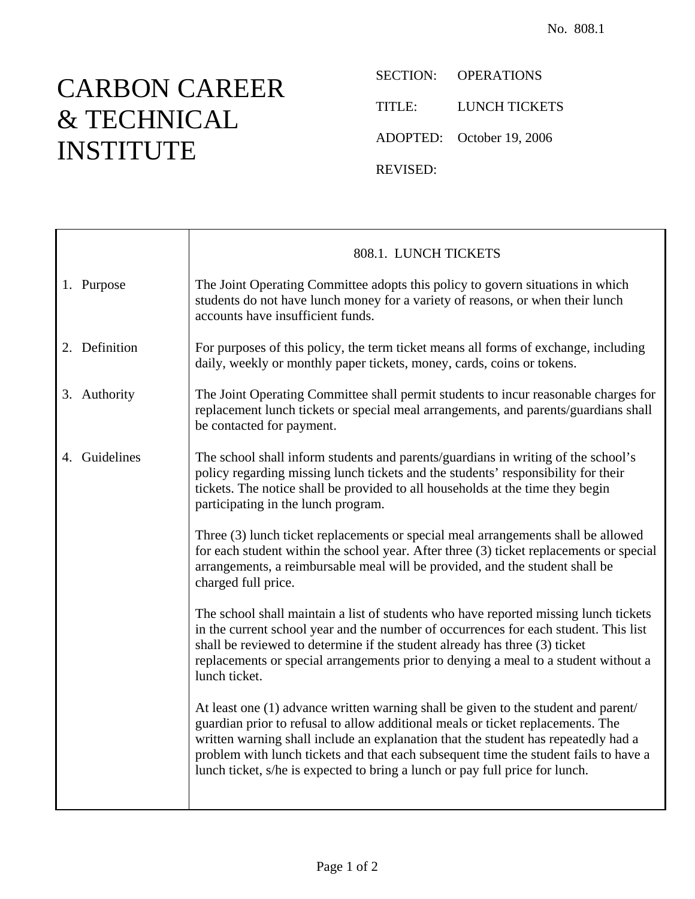## CARBON CAREER & TECHNICAL INSTITUTE

SECTION: OPERATIONS TITLE: LUNCH TICKETS ADOPTED: October 19, 2006 REVISED:

|               | 808.1. LUNCH TICKETS                                                                                                                                                                                                                                                                                                                                                                                                                |
|---------------|-------------------------------------------------------------------------------------------------------------------------------------------------------------------------------------------------------------------------------------------------------------------------------------------------------------------------------------------------------------------------------------------------------------------------------------|
| 1. Purpose    | The Joint Operating Committee adopts this policy to govern situations in which<br>students do not have lunch money for a variety of reasons, or when their lunch<br>accounts have insufficient funds.                                                                                                                                                                                                                               |
| 2. Definition | For purposes of this policy, the term ticket means all forms of exchange, including<br>daily, weekly or monthly paper tickets, money, cards, coins or tokens.                                                                                                                                                                                                                                                                       |
| 3. Authority  | The Joint Operating Committee shall permit students to incur reasonable charges for<br>replacement lunch tickets or special meal arrangements, and parents/guardians shall<br>be contacted for payment.                                                                                                                                                                                                                             |
| 4. Guidelines | The school shall inform students and parents/guardians in writing of the school's<br>policy regarding missing lunch tickets and the students' responsibility for their<br>tickets. The notice shall be provided to all households at the time they begin<br>participating in the lunch program.                                                                                                                                     |
|               | Three (3) lunch ticket replacements or special meal arrangements shall be allowed<br>for each student within the school year. After three (3) ticket replacements or special<br>arrangements, a reimbursable meal will be provided, and the student shall be<br>charged full price.                                                                                                                                                 |
|               | The school shall maintain a list of students who have reported missing lunch tickets<br>in the current school year and the number of occurrences for each student. This list<br>shall be reviewed to determine if the student already has three (3) ticket<br>replacements or special arrangements prior to denying a meal to a student without a<br>lunch ticket.                                                                  |
|               | At least one (1) advance written warning shall be given to the student and parent/<br>guardian prior to refusal to allow additional meals or ticket replacements. The<br>written warning shall include an explanation that the student has repeatedly had a<br>problem with lunch tickets and that each subsequent time the student fails to have a<br>lunch ticket, s/he is expected to bring a lunch or pay full price for lunch. |
|               |                                                                                                                                                                                                                                                                                                                                                                                                                                     |